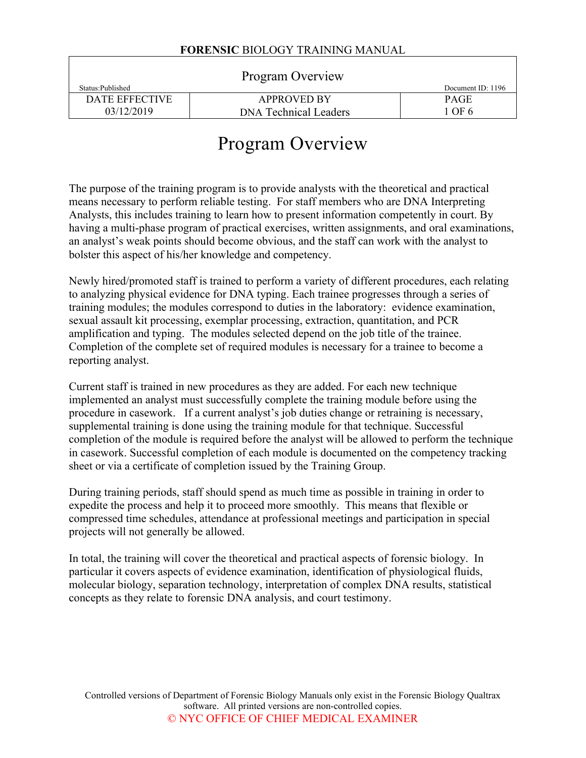|                   | Program Overview             |                   |
|-------------------|------------------------------|-------------------|
| Status: Published |                              | Document ID: 1196 |
| DATE EFFECTIVE    | <b>APPROVED BY</b>           | <b>PAGE</b>       |
| 03/12/2019        | <b>DNA Technical Leaders</b> | 1 OF 6            |

# Program Overview

The purpose of the training program is to provide analysts with the theoretical and practical means necessary to perform reliable testing. For staff members who are DNA Interpreting Analysts, this includes training to learn how to present information competently in court. By having a multi-phase program of practical exercises, written assignments, and oral examinations, an analyst's weak points should become obvious, and the staff can work with the analyst to bolster this aspect of his/her knowledge and competency.

Newly hired/promoted staff is trained to perform a variety of different procedures, each relating to analyzing physical evidence for DNA typing. Each trainee progresses through a series of training modules; the modules correspond to duties in the laboratory: evidence examination, sexual assault kit processing, exemplar processing, extraction, quantitation, and PCR amplification and typing. The modules selected depend on the job title of the trainee. Completion of the complete set of required modules is necessary for a trainee to become a reporting analyst.

Current staff is trained in new procedures as they are added. For each new technique implemented an analyst must successfully complete the training module before using the procedure in casework. If a current analyst's job duties change or retraining is necessary, supplemental training is done using the training module for that technique. Successful completion of the module is required before the analyst will be allowed to perform the technique in casework. Successful completion of each module is documented on the competency tracking sheet or via a certificate of completion issued by the Training Group.

During training periods, staff should spend as much time as possible in training in order to expedite the process and help it to proceed more smoothly. This means that flexible or compressed time schedules, attendance at professional meetings and participation in special projects will not generally be allowed.

In total, the training will cover the theoretical and practical aspects of forensic biology. In particular it covers aspects of evidence examination, identification of physiological fluids, molecular biology, separation technology, interpretation of complex DNA results, statistical concepts as they relate to forensic DNA analysis, and court testimony.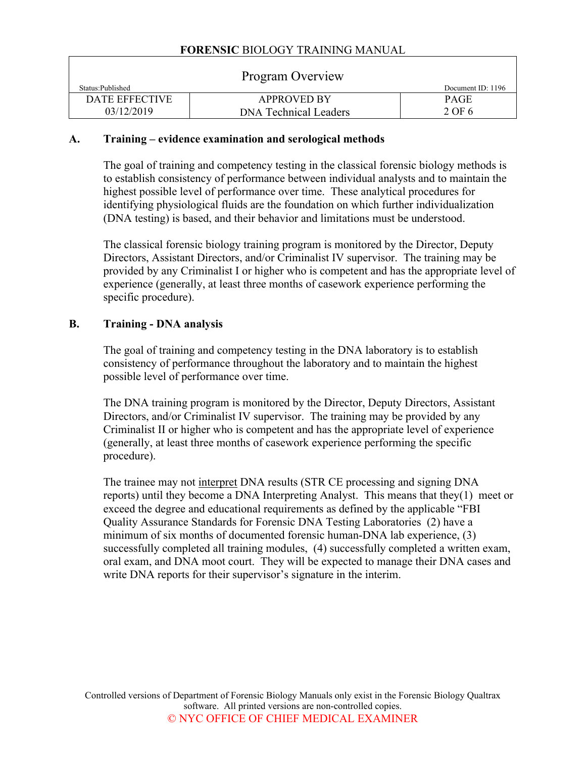| Program Overview  |                              |                   |  |
|-------------------|------------------------------|-------------------|--|
| Status: Published |                              | Document ID: 1196 |  |
| DATE EFFECTIVE    | <b>APPROVED BY</b>           | <b>PAGE</b>       |  |
| 03/12/2019        | <b>DNA Technical Leaders</b> | 2 OF 6            |  |

#### **A. Training – evidence examination and serological methods**

The goal of training and competency testing in the classical forensic biology methods is to establish consistency of performance between individual analysts and to maintain the highest possible level of performance over time. These analytical procedures for identifying physiological fluids are the foundation on which further individualization (DNA testing) is based, and their behavior and limitations must be understood.

The classical forensic biology training program is monitored by the Director, Deputy Directors, Assistant Directors, and/or Criminalist IV supervisor. The training may be provided by any Criminalist I or higher who is competent and has the appropriate level of experience (generally, at least three months of casework experience performing the specific procedure).

#### **B. Training - DNA analysis**

The goal of training and competency testing in the DNA laboratory is to establish consistency of performance throughout the laboratory and to maintain the highest possible level of performance over time.

The DNA training program is monitored by the Director, Deputy Directors, Assistant Directors, and/or Criminalist IV supervisor. The training may be provided by any Criminalist II or higher who is competent and has the appropriate level of experience (generally, at least three months of casework experience performing the specific procedure).

The trainee may not interpret DNA results (STR CE processing and signing DNA reports) until they become a DNA Interpreting Analyst. This means that they(1) meet or exceed the degree and educational requirements as defined by the applicable "FBI Quality Assurance Standards for Forensic DNA Testing Laboratories (2) have a minimum of six months of documented forensic human-DNA lab experience, (3) successfully completed all training modules, (4) successfully completed a written exam, oral exam, and DNA moot court. They will be expected to manage their DNA cases and write DNA reports for their supervisor's signature in the interim.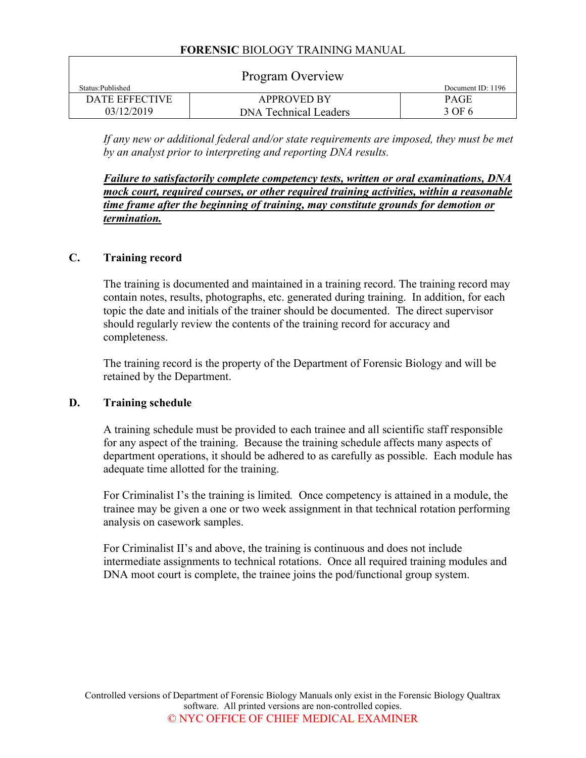|                   | Program Overview             |                   |
|-------------------|------------------------------|-------------------|
| Status: Published |                              | Document ID: 1196 |
| DATE EFFECTIVE    | <b>APPROVED BY</b>           | <b>PAGE</b>       |
| 03/12/2019        | <b>DNA Technical Leaders</b> | 3 OF 6            |

If any new or additional federal and/or state requirements are imposed, they must be met *by an analyst prior to interpreting and reporting DNA results.*

*Failure to satisfactorily complete competency tests, written or oral examinations, DNA mock court, required courses, or other required training activities, within a reasonable time frame after the beginning of training, may constitute grounds for demotion or termination.* 

#### **C. Training record**

The training is documented and maintained in a training record. The training record may contain notes, results, photographs, etc. generated during training. In addition, for each topic the date and initials of the trainer should be documented. The direct supervisor should regularly review the contents of the training record for accuracy and completeness.

The training record is the property of the Department of Forensic Biology and will be retained by the Department.

#### **D. Training schedule**

A training schedule must be provided to each trainee and all scientific staff responsible for any aspect of the training. Because the training schedule affects many aspects of department operations, it should be adhered to as carefully as possible. Each module has adequate time allotted for the training.

For Criminalist I's the training is limited*.* Once competency is attained in a module, the trainee may be given a one or two week assignment in that technical rotation performing analysis on casework samples.

For Criminalist II's and above, the training is continuous and does not include intermediate assignments to technical rotations. Once all required training modules and DNA moot court is complete, the trainee joins the pod/functional group system.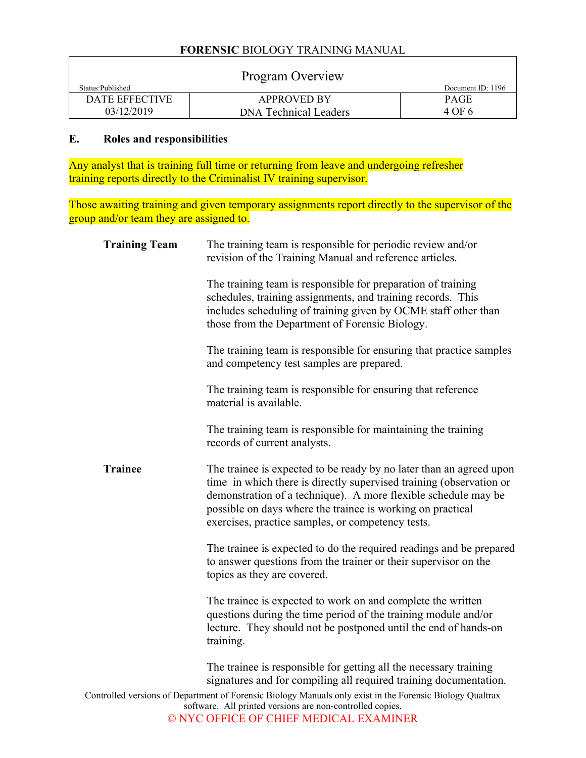|                   | Program Overview             |                   |
|-------------------|------------------------------|-------------------|
| Status: Published |                              | Document ID: 1196 |
| DATE EFFECTIVE    | <b>APPROVED BY</b>           | <b>PAGE</b>       |
| 03/12/2019        | <b>DNA Technical Leaders</b> | 4 OF 6            |

## **E. Roles and responsibilities**

 $\overline{1}$ 

Any analyst that is training full time or returning from leave and undergoing refresher training reports directly to the Criminalist IV training supervisor.

Those awaiting training and given temporary assignments report directly to the supervisor of the group and/or team they are assigned to.

| <b>Training Team</b> | The training team is responsible for periodic review and/or<br>revision of the Training Manual and reference articles.                                                                                                                                                                                                          |
|----------------------|---------------------------------------------------------------------------------------------------------------------------------------------------------------------------------------------------------------------------------------------------------------------------------------------------------------------------------|
|                      | The training team is responsible for preparation of training<br>schedules, training assignments, and training records. This<br>includes scheduling of training given by OCME staff other than<br>those from the Department of Forensic Biology.                                                                                 |
|                      | The training team is responsible for ensuring that practice samples<br>and competency test samples are prepared.                                                                                                                                                                                                                |
|                      | The training team is responsible for ensuring that reference<br>material is available.                                                                                                                                                                                                                                          |
|                      | The training team is responsible for maintaining the training<br>records of current analysts.                                                                                                                                                                                                                                   |
| <b>Trainee</b>       | The trainee is expected to be ready by no later than an agreed upon<br>time in which there is directly supervised training (observation or<br>demonstration of a technique). A more flexible schedule may be<br>possible on days where the trainee is working on practical<br>exercises, practice samples, or competency tests. |
|                      | The trainee is expected to do the required readings and be prepared<br>to answer questions from the trainer or their supervisor on the<br>topics as they are covered.                                                                                                                                                           |
|                      | The trainee is expected to work on and complete the written<br>questions during the time period of the training module and/or<br>lecture. They should not be postponed until the end of hands-on<br>training.                                                                                                                   |
|                      | The trainee is responsible for getting all the necessary training<br>signatures and for compiling all required training documentation.                                                                                                                                                                                          |
|                      | Controlled versions of Department of Forensic Biology Manuals only exist in the Forensic Biology Qualtrax<br>software. All printed versions are non-controlled copies.<br>© NYC OFFICE OF CHIEF MEDICAL EXAMINER                                                                                                                |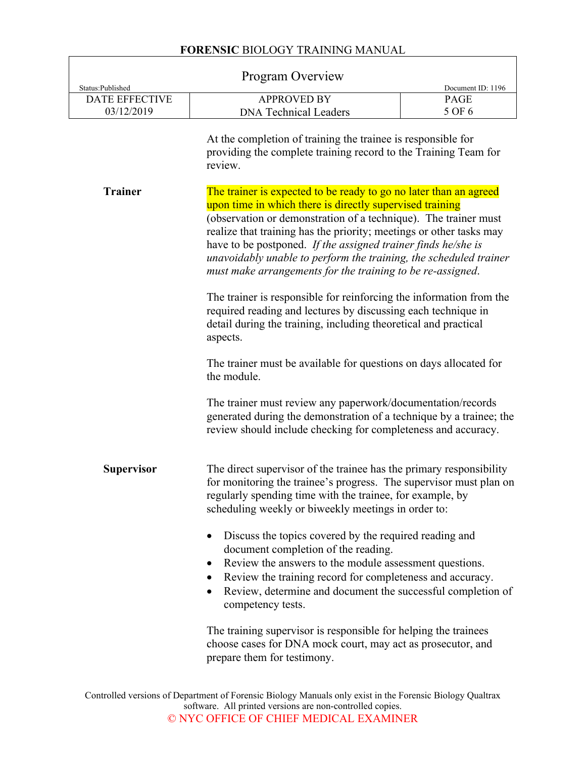| Status:Published      | <b>Program Overview</b>                                                                                                                                                                                                                                                                                                                                                                                                                                                     | Document ID: 1196 |
|-----------------------|-----------------------------------------------------------------------------------------------------------------------------------------------------------------------------------------------------------------------------------------------------------------------------------------------------------------------------------------------------------------------------------------------------------------------------------------------------------------------------|-------------------|
| <b>DATE EFFECTIVE</b> | <b>APPROVED BY</b>                                                                                                                                                                                                                                                                                                                                                                                                                                                          | PAGE              |
| 03/12/2019            | <b>DNA Technical Leaders</b>                                                                                                                                                                                                                                                                                                                                                                                                                                                | 5 OF 6            |
|                       | At the completion of training the trainee is responsible for<br>providing the complete training record to the Training Team for<br>review.                                                                                                                                                                                                                                                                                                                                  |                   |
| <b>Trainer</b>        | The trainer is expected to be ready to go no later than an agreed<br>upon time in which there is directly supervised training<br>(observation or demonstration of a technique). The trainer must<br>realize that training has the priority; meetings or other tasks may<br>have to be postponed. If the assigned trainer finds he/she is<br>unavoidably unable to perform the training, the scheduled trainer<br>must make arrangements for the training to be re-assigned. |                   |
|                       | The trainer is responsible for reinforcing the information from the<br>required reading and lectures by discussing each technique in<br>detail during the training, including theoretical and practical<br>aspects.                                                                                                                                                                                                                                                         |                   |
|                       | The trainer must be available for questions on days allocated for<br>the module.                                                                                                                                                                                                                                                                                                                                                                                            |                   |
|                       | The trainer must review any paperwork/documentation/records<br>generated during the demonstration of a technique by a trainee; the<br>review should include checking for completeness and accuracy.                                                                                                                                                                                                                                                                         |                   |
| <b>Supervisor</b>     | The direct supervisor of the trainee has the primary responsibility<br>for monitoring the trainee's progress. The supervisor must plan on<br>regularly spending time with the trainee, for example, by<br>scheduling weekly or biweekly meetings in order to:                                                                                                                                                                                                               |                   |
|                       | Discuss the topics covered by the required reading and<br>document completion of the reading.<br>Review the answers to the module assessment questions.<br>$\bullet$<br>Review the training record for completeness and accuracy.<br>Review, determine and document the successful completion of<br>competency tests.                                                                                                                                                       |                   |
|                       | The training supervisor is responsible for helping the trainees<br>choose cases for DNA mock court, may act as prosecutor, and<br>prepare them for testimony.                                                                                                                                                                                                                                                                                                               |                   |